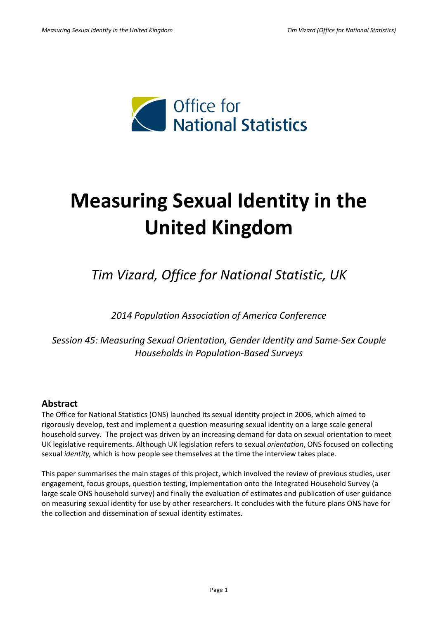

# **Measuring Sexual Identity in the United Kingdom**

*Tim Vizard, Office for National Statistic, UK*

*2014 Population Association of America Conference* 

*Session 45: Measuring Sexual Orientation, Gender Identity and Same-Sex Couple Households in Population-Based Surveys*

# **Abstract**

The Office for National Statistics (ONS) launched its sexual identity project in 2006, which aimed to rigorously develop, test and implement a question measuring sexual identity on a large scale general household survey. The project was driven by an increasing demand for data on sexual orientation to meet UK legislative requirements. Although UK legislation refers to sexual *orientation*, ONS focused on collecting sexual *identity,* which is how people see themselves at the time the interview takes place.

This paper summarises the main stages of this project, which involved the review of previous studies, user engagement, focus groups, question testing, implementation onto the Integrated Household Survey (a large scale ONS household survey) and finally the evaluation of estimates and publication of user guidance on measuring sexual identity for use by other researchers. It concludes with the future plans ONS have for the collection and dissemination of sexual identity estimates.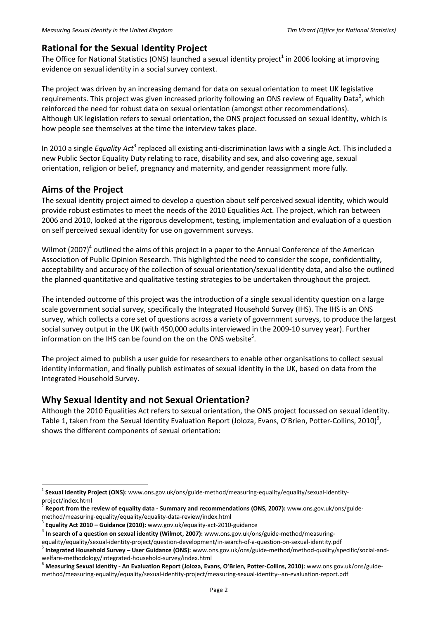# **Rational for the Sexual Identity Project**

The Office for National Statistics (ONS) launched a sexual identity project<sup>1</sup> in 2006 looking at improving evidence on sexual identity in a social survey context.

The project was driven by an increasing demand for data on sexual orientation to meet UK legislative requirements. This project was given increased priority following an ONS review of Equality Data<sup>2</sup>, which reinforced the need for robust data on sexual orientation (amongst other recommendations). Although UK legislation refers to sexual orientation, the ONS project focussed on sexual identity, which is how people see themselves at the time the interview takes place.

In 2010 a single *Equality Act<sup>3</sup>* replaced all existing anti-discrimination laws with a single Act. This included a new Public Sector Equality Duty relating to race, disability and sex, and also covering age, sexual orientation, religion or belief, pregnancy and maternity, and gender reassignment more fully.

# **Aims of the Project**

 $\overline{a}$ 

The sexual identity project aimed to develop a question about self perceived sexual identity, which would provide robust estimates to meet the needs of the 2010 Equalities Act. The project, which ran between 2006 and 2010, looked at the rigorous development, testing, implementation and evaluation of a question on self perceived sexual identity for use on government surveys.

Wilmot (2007)<sup>4</sup> outlined the aims of this project in a paper to the Annual Conference of the American Association of Public Opinion Research. This highlighted the need to consider the scope, confidentiality, acceptability and accuracy of the collection of sexual orientation/sexual identity data, and also the outlined the planned quantitative and qualitative testing strategies to be undertaken throughout the project.

The intended outcome of this project was the introduction of a single sexual identity question on a large scale government social survey, specifically the Integrated Household Survey (IHS). The IHS is an ONS survey, which collects a core set of questions across a variety of government surveys, to produce the largest social survey output in the UK (with 450,000 adults interviewed in the 2009-10 survey year). Further information on the IHS can be found on the on the ONS website<sup>5</sup>.

The project aimed to publish a user guide for researchers to enable other organisations to collect sexual identity information, and finally publish estimates of sexual identity in the UK, based on data from the Integrated Household Survey.

# **Why Sexual Identity and not Sexual Orientation?**

Although the 2010 Equalities Act refers to sexual orientation, the ONS project focussed on sexual identity. Table 1, taken from the Sexual Identity Evaluation Report (Joloza, Evans, O'Brien, Potter-Collins, 2010)<sup>6</sup>, shows the different components of sexual orientation:

<sup>&</sup>lt;sup>1</sup> Sexual Identity Project (ONS): www.ons.gov.uk/ons/guide-method/measuring-equality/equality/sexual-identityproject/index.html<br>2 **Peneut from the** 

**Report from the review of equality data - Summary and recommendations (ONS, 2007):** www.ons.gov.uk/ons/guide-

method/measuring-equality/equality/equality-data-review/index.html

<sup>3</sup> **Equality Act 2010 – Guidance (2010):** www.gov.uk/equality-act-2010-guidance

<sup>4</sup> **In search of a question on sexual identity (Wilmot, 2007):** www.ons.gov.uk/ons/guide-method/measuring-

equality/equality/sexual-identity-project/question-development/in-search-of-a-question-on-sexual-identity.pdf<br><sup>5</sup> I**ntegrated Household Survey – User Guidance (ONS):** www.ons.gov.uk/ons/guide-method/method-quality/specific

welfare-methodology/integrated-household-survey/index.html

<sup>6</sup> **Measuring Sexual Identity - An Evaluation Report (Joloza, Evans, O'Brien, Potter-Collins, 2010):** www.ons.gov.uk/ons/guidemethod/measuring-equality/equality/sexual-identity-project/measuring-sexual-identity--an-evaluation-report.pdf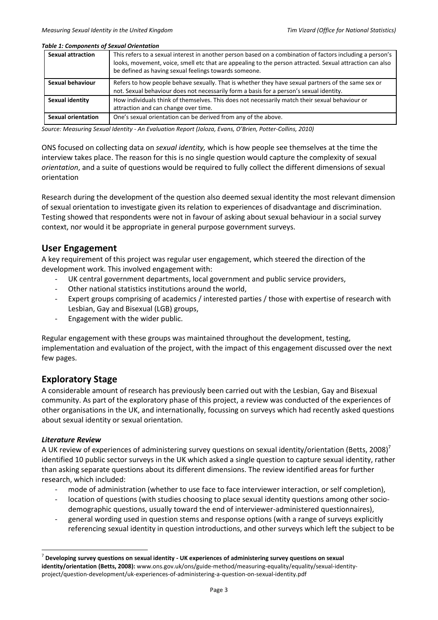#### *Table 1: Components of Sexual Orientation*

| <b>Sexual attraction</b> | This refers to a sexual interest in another person based on a combination of factors including a person's<br>looks, movement, voice, smell etc that are appealing to the person attracted. Sexual attraction can also<br>be defined as having sexual feelings towards someone. |
|--------------------------|--------------------------------------------------------------------------------------------------------------------------------------------------------------------------------------------------------------------------------------------------------------------------------|
| Sexual behaviour         | Refers to how people behave sexually. That is whether they have sexual partners of the same sex or<br>not. Sexual behaviour does not necessarily form a basis for a person's sexual identity.                                                                                  |
| Sexual identity          | How individuals think of themselves. This does not necessarily match their sexual behaviour or<br>attraction and can change over time.                                                                                                                                         |
| Sexual orientation       | One's sexual orientation can be derived from any of the above.                                                                                                                                                                                                                 |

*Source: Measuring Sexual Identity - An Evaluation Report (Joloza, Evans, O'Brien, Potter-Collins, 2010)*

ONS focused on collecting data on *sexual identity,* which is how people see themselves at the time the interview takes place. The reason for this is no single question would capture the complexity of sexual *orientation*, and a suite of questions would be required to fully collect the different dimensions of sexual orientation

Research during the development of the question also deemed sexual identity the most relevant dimension of sexual orientation to investigate given its relation to experiences of disadvantage and discrimination. Testing showed that respondents were not in favour of asking about sexual behaviour in a social survey context, nor would it be appropriate in general purpose government surveys.

## **User Engagement**

A key requirement of this project was regular user engagement, which steered the direction of the development work. This involved engagement with:

- UK central government departments, local government and public service providers,
- Other national statistics institutions around the world,
- Expert groups comprising of academics / interested parties / those with expertise of research with Lesbian, Gay and Bisexual (LGB) groups,
- Engagement with the wider public.

Regular engagement with these groups was maintained throughout the development, testing, implementation and evaluation of the project, with the impact of this engagement discussed over the next few pages.

# **Exploratory Stage**

A considerable amount of research has previously been carried out with the Lesbian, Gay and Bisexual community. As part of the exploratory phase of this project, a review was conducted of the experiences of other organisations in the UK, and internationally, focussing on surveys which had recently asked questions about sexual identity or sexual orientation.

## *Literature Review*

1

A UK review of experiences of administering survey questions on sexual identity/orientation (Betts, 2008)<sup>7</sup> identified 10 public sector surveys in the UK which asked a single question to capture sexual identity, rather than asking separate questions about its different dimensions. The review identified areas for further research, which included:

- mode of administration (whether to use face to face interviewer interaction, or self completion),
- location of questions (with studies choosing to place sexual identity questions among other sociodemographic questions, usually toward the end of interviewer-administered questionnaires),
- general wording used in question stems and response options (with a range of surveys explicitly referencing sexual identity in question introductions, and other surveys which left the subject to be

<sup>7</sup> **Developing survey questions on sexual identity - UK experiences of administering survey questions on sexual identity/orientation (Betts, 2008):** www.ons.gov.uk/ons/guide-method/measuring-equality/equality/sexual-identityproject/question-development/uk-experiences-of-administering-a-question-on-sexual-identity.pdf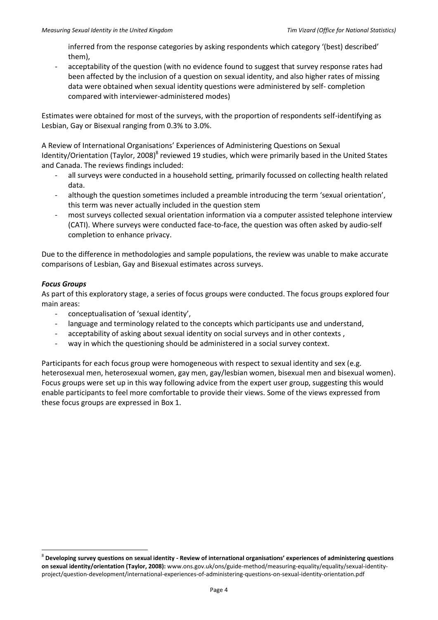inferred from the response categories by asking respondents which category '(best) described' them),

acceptability of the question (with no evidence found to suggest that survey response rates had been affected by the inclusion of a question on sexual identity, and also higher rates of missing data were obtained when sexual identity questions were administered by self- completion compared with interviewer-administered modes)

Estimates were obtained for most of the surveys, with the proportion of respondents self-identifying as Lesbian, Gay or Bisexual ranging from 0.3% to 3.0%.

A Review of International Organisations' Experiences of Administering Questions on Sexual Identity/Orientation (Taylor, 2008)<sup>8</sup> reviewed 19 studies, which were primarily based in the United States and Canada. The reviews findings included:

- all surveys were conducted in a household setting, primarily focussed on collecting health related data.
- although the question sometimes included a preamble introducing the term 'sexual orientation', this term was never actually included in the question stem
- most surveys collected sexual orientation information via a computer assisted telephone interview (CATI). Where surveys were conducted face-to-face, the question was often asked by audio-self completion to enhance privacy.

Due to the difference in methodologies and sample populations, the review was unable to make accurate comparisons of Lesbian, Gay and Bisexual estimates across surveys.

## *Focus Groups*

1

As part of this exploratory stage, a series of focus groups were conducted. The focus groups explored four main areas:

- conceptualisation of 'sexual identity',
- language and terminology related to the concepts which participants use and understand,
- acceptability of asking about sexual identity on social surveys and in other contexts,
- way in which the questioning should be administered in a social survey context.

Participants for each focus group were homogeneous with respect to sexual identity and sex (e.g. heterosexual men, heterosexual women, gay men, gay/lesbian women, bisexual men and bisexual women). Focus groups were set up in this way following advice from the expert user group, suggesting this would enable participants to feel more comfortable to provide their views. Some of the views expressed from these focus groups are expressed in Box 1.

<sup>8</sup> **Developing survey questions on sexual identity - Review of international organisations' experiences of administering questions on sexual identity/orientation (Taylor, 2008):** www.ons.gov.uk/ons/guide-method/measuring-equality/equality/sexual-identityproject/question-development/international-experiences-of-administering-questions-on-sexual-identity-orientation.pdf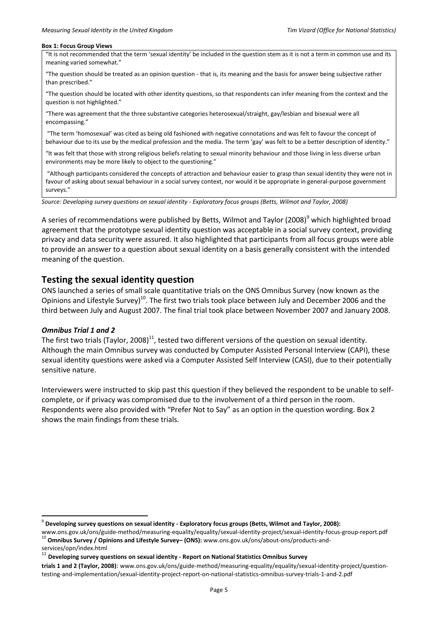#### **Box 1: Focus Group Views**

"It is not recommended that the term 'sexual identity' be included in the question stem as it is not a term in common use and its meaning varied somewhat."

"The question should be treated as an opinion question - that is, its meaning and the basis for answer being subjective rather than prescribed."

"The question should be located with other identity questions, so that respondents can infer meaning from the context and the question is not highlighted."

"There was agreement that the three substantive categories heterosexual/straight, gay/lesbian and bisexual were all encompassing."

"The term 'homosexual' was cited as being old fashioned with negative connotations and was felt to favour the concept of behaviour due to its use by the medical profession and the media. The term 'gay' was felt to be a better description of identity."

"It was felt that those with strong religious beliefs relating to sexual minority behaviour and those living in less diverse urban environments may be more likely to object to the questioning."

"Although participants considered the concepts of attraction and behaviour easier to grasp than sexual identity they were not in favour of asking about sexual behaviour in a social survey context, nor would it be appropriate in general-purpose government surveys."

*Source: Developing survey questions on sexual identity - Exploratory focus groups (Betts, Wilmot and Taylor, 2008)*

A series of recommendations were published by Betts, Wilmot and Taylor (2008)<sup>9</sup> which highlighted broad agreement that the prototype sexual identity question was acceptable in a social survey context, providing privacy and data security were assured. It also highlighted that participants from all focus groups were able to provide an answer to a question about sexual identity on a basis generally consistent with the intended meaning of the question.

## **Testing the sexual identity question**

ONS launched a series of small scale quantitative trials on the ONS Omnibus Survey (now known as the Opinions and Lifestyle Survey)<sup>10</sup>. The first two trials took place between July and December 2006 and the third between July and August 2007. The final trial took place between November 2007 and January 2008.

#### *Omnibus Trial 1 and 2*

The first two trials (Taylor, 2008)<sup>11</sup>, tested two different versions of the question on sexual identity. Although the main Omnibus survey was conducted by Computer Assisted Personal Interview (CAPI), these sexual identity questions were asked via a Computer Assisted Self Interview (CASI), due to their potentially sensitive nature.

Interviewers were instructed to skip past this question if they believed the respondent to be unable to selfcomplete, or if privacy was compromised due to the involvement of a third person in the room. Respondents were also provided with "Prefer Not to Say" as an option in the question wording. Box 2 shows the main findings from these trials.

 $\overline{a}$ 

<sup>9</sup> **Developing survey questions on sexual identity - Exploratory focus groups (Betts, Wilmot and Taylor, 2008):**

www.ons.gov.uk/ons/guide-method/measuring-equality/equality/sexual-identity-project/sexual-identity-focus-group-report.pdf <sup>10</sup> **Omnibus Survey / Opinions and Lifestyle Survey– (ONS):** www.ons.gov.uk/ons/about-ons/products-and-

services/opn/index.html

<sup>11</sup> **Developing survey questions on sexual identity - Report on National Statistics Omnibus Survey**

**trials 1 and 2 (Taylor, 2008)**: www.ons.gov.uk/ons/guide-method/measuring-equality/equality/sexual-identity-project/questiontesting-and-implementation/sexual-identity-project-report-on-national-statistics-omnibus-survey-trials-1-and-2.pdf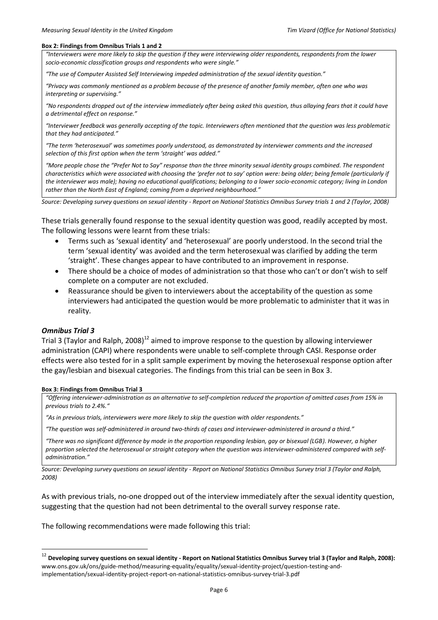#### **Box 2: Findings from Omnibus Trials 1 and 2**

"Interviewers were more likely to skip the question if they were interviewing older respondents, respondents from the lower *socio-economic classification groups and respondents who were single."*

*"The use of Computer Assisted Self Interviewing impeded administration of the sexual identity question."*

*"Privacy was commonly mentioned as a problem because of the presence of another family member, often one who was interpreting or supervising."*

*"No respondents dropped out of the interview immediately after being asked this question, thus allaying fears that it could have a detrimental effect on response."*

*"Interviewer feedback was generally accepting of the topic. Interviewers often mentioned that the question was less problematic that they had anticipated."*

*"The term 'heterosexual' was sometimes poorly understood, as demonstrated by interviewer comments and the increased selection of this first option when the term 'straight' was added."*

*"More people chose the "Prefer Not to Say" response than the three minority sexual identity groups combined. The respondent characteristics which were associated with choosing the 'prefer not to say' option were: being older; being female (particularly if the interviewer was male); having no educational qualifications; belonging to a lower socio-economic category; living in London rather than the North East of England; coming from a deprived neighbourhood."*

*Source: Developing survey questions on sexual identity - Report on National Statistics Omnibus Survey trials 1 and 2 (Taylor, 2008)*

These trials generally found response to the sexual identity question was good, readily accepted by most. The following lessons were learnt from these trials:

- Terms such as 'sexual identity' and 'heterosexual' are poorly understood. In the second trial the term 'sexual identity' was avoided and the term heterosexual was clarified by adding the term 'straight'. These changes appear to have contributed to an improvement in response.
- There should be a choice of modes of administration so that those who can't or don't wish to self complete on a computer are not excluded.
- Reassurance should be given to interviewers about the acceptability of the question as some interviewers had anticipated the question would be more problematic to administer that it was in reality.

## *Omnibus Trial 3*

1

Trial 3 (Taylor and Ralph, 2008)<sup>12</sup> aimed to improve response to the question by allowing interviewer administration (CAPI) where respondents were unable to self-complete through CASI. Response order effects were also tested for in a split sample experiment by moving the heterosexual response option after the gay/lesbian and bisexual categories. The findings from this trial can be seen in Box 3.

## **Box 3: Findings from Omnibus Trial 3**

*"Offering interviewer-administration as an alternative to self-completion reduced the proportion of omitted cases from 15% in previous trials to 2.4%."*

*"As in previous trials, interviewers were more likely to skip the question with older respondents."*

*"The question was self-administered in around two-thirds of cases and interviewer-administered in around a third."*

*"There was no significant difference by mode in the proportion responding lesbian, gay or bisexual (LGB). However, a higher proportion selected the heterosexual or straight category when the question was interviewer-administered compared with selfadministration."*

*Source: Developing survey questions on sexual identity - Report on National Statistics Omnibus Survey trial 3 (Taylor and Ralph, 2008)*

As with previous trials, no-one dropped out of the interview immediately after the sexual identity question, suggesting that the question had not been detrimental to the overall survey response rate.

The following recommendations were made following this trial:

<sup>12</sup> **Developing survey questions on sexual identity - Report on National Statistics Omnibus Survey trial 3 (Taylor and Ralph, 2008):** www.ons.gov.uk/ons/guide-method/measuring-equality/equality/sexual-identity-project/question-testing-andimplementation/sexual-identity-project-report-on-national-statistics-omnibus-survey-trial-3.pdf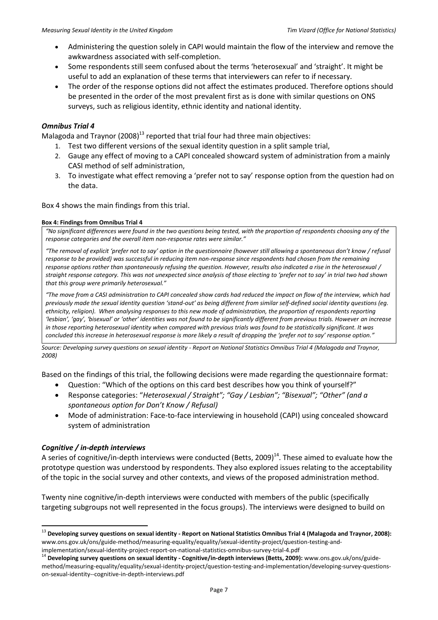- Administering the question solely in CAPI would maintain the flow of the interview and remove the awkwardness associated with self-completion.
- Some respondents still seem confused about the terms 'heterosexual' and 'straight'. It might be useful to add an explanation of these terms that interviewers can refer to if necessary.
- The order of the response options did not affect the estimates produced. Therefore options should be presented in the order of the most prevalent first as is done with similar questions on ONS surveys, such as religious identity, ethnic identity and national identity.

## *Omnibus Trial 4*

Malagoda and Traynor  $(2008)^{13}$  reported that trial four had three main objectives:

- 1. Test two different versions of the sexual identity question in a split sample trial,
- 2. Gauge any effect of moving to a CAPI concealed showcard system of administration from a mainly CASI method of self administration,
- 3. To investigate what effect removing a 'prefer not to say' response option from the question had on the data.

## Box 4 shows the main findings from this trial.

## **Box 4: Findings from Omnibus Trial 4**

*"No significant differences were found in the two questions being tested, with the proportion of respondents choosing any of the response categories and the overall item non-response rates were similar."*

*"The removal of explicit 'prefer not to say' option in the questionnaire (however still allowing a spontaneous don't know / refusal response to be provided) was successful in reducing item non-response since respondents had chosen from the remaining response options rather than spontaneously refusing the question. However, results also indicated a rise in the heterosexual / straight response category. This was not unexpected since analysis of those electing to 'prefer not to say' in trial two had shown that this group were primarily heterosexual."*

*"The move from a CASI administration to CAPI concealed show cards had reduced the impact on flow of the interview, which had previously made the sexual identity question 'stand-out' as being different from similar self-defined social identity questions (eg. ethnicity, religion). When analysing responses to this new mode of administration, the proportion of respondents reporting 'lesbian', 'gay', 'bisexual' or 'other' identities was not found to be significantly different from previous trials. However an increase in those reporting heterosexual identity when compared with previous trials was found to be statistically significant. It was concluded this increase in heterosexual response is more likely a result of dropping the 'prefer not to say' response option."*

*Source: Developing survey questions on sexual identity - Report on National Statistics Omnibus Trial 4 (Malagoda and Traynor, 2008)*

Based on the findings of this trial, the following decisions were made regarding the questionnaire format:

- Question: "Which of the options on this card best describes how you think of yourself?"
- Response categories: "*Heterosexual / Straight"; "Gay / Lesbian"; "Bisexual"; "Other" (and a spontaneous option for Don't Know / Refusal)*
- Mode of administration: Face-to-face interviewing in household (CAPI) using concealed showcard system of administration

## *Cognitive / in-depth interviews*

1

A series of cognitive/in-depth interviews were conducted (Betts, 2009)<sup>14</sup>. These aimed to evaluate how the prototype question was understood by respondents. They also explored issues relating to the acceptability of the topic in the social survey and other contexts, and views of the proposed administration method.

Twenty nine cognitive/in-depth interviews were conducted with members of the public (specifically targeting subgroups not well represented in the focus groups). The interviews were designed to build on

<sup>13</sup> **Developing survey questions on sexual identity - Report on National Statistics Omnibus Trial 4 (Malagoda and Traynor, 2008):**  www.ons.gov.uk/ons/guide-method/measuring-equality/equality/sexual-identity-project/question-testing-andimplementation/sexual-identity-project-report-on-national-statistics-omnibus-survey-trial-4.pdf

<sup>14</sup> **Developing survey questions on sexual identity - Cognitive/in-depth interviews (Betts, 2009):** www.ons.gov.uk/ons/guidemethod/measuring-equality/equality/sexual-identity-project/question-testing-and-implementation/developing-survey-questionson-sexual-identity--cognitive-in-depth-interviews.pdf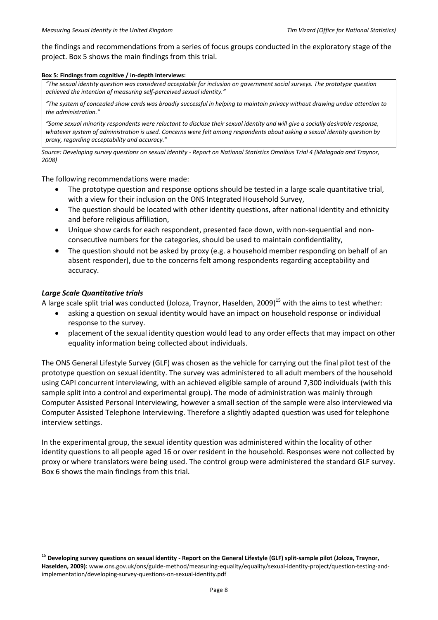the findings and recommendations from a series of focus groups conducted in the exploratory stage of the project. Box 5 shows the main findings from this trial.

## **Box 5: Findings from cognitive / in-depth interviews:**

*"The sexual identity question was considered acceptable for inclusion on government social surveys. The prototype question achieved the intention of measuring self-perceived sexual identity."*

*"The system of concealed show cards was broadly successful in helping to maintain privacy without drawing undue attention to the administration."*

*"Some sexual minority respondents were reluctant to disclose their sexual identity and will give a socially desirable response, whatever system of administration is used. Concerns were felt among respondents about asking a sexual identity question by proxy, regarding acceptability and accuracy."*

*Source: Developing survey questions on sexual identity - Report on National Statistics Omnibus Trial 4 (Malagoda and Traynor, 2008)*

The following recommendations were made:

- The prototype question and response options should be tested in a large scale quantitative trial, with a view for their inclusion on the ONS Integrated Household Survey,
- The question should be located with other identity questions, after national identity and ethnicity and before religious affiliation,
- Unique show cards for each respondent, presented face down, with non-sequential and nonconsecutive numbers for the categories, should be used to maintain confidentiality,
- The question should not be asked by proxy (e.g. a household member responding on behalf of an absent responder), due to the concerns felt among respondents regarding acceptability and accuracy.

## *Large Scale Quantitative trials*

1

A large scale split trial was conducted (Joloza, Traynor, Haselden, 2009)<sup>15</sup> with the aims to test whether:

- asking a question on sexual identity would have an impact on household response or individual response to the survey.
- placement of the sexual identity question would lead to any order effects that may impact on other equality information being collected about individuals.

The ONS General Lifestyle Survey (GLF) was chosen as the vehicle for carrying out the final pilot test of the prototype question on sexual identity. The survey was administered to all adult members of the household using CAPI concurrent interviewing, with an achieved eligible sample of around 7,300 individuals (with this sample split into a control and experimental group). The mode of administration was mainly through Computer Assisted Personal Interviewing, however a small section of the sample were also interviewed via Computer Assisted Telephone Interviewing. Therefore a slightly adapted question was used for telephone interview settings.

In the experimental group, the sexual identity question was administered within the locality of other identity questions to all people aged 16 or over resident in the household. Responses were not collected by proxy or where translators were being used. The control group were administered the standard GLF survey. Box 6 shows the main findings from this trial.

<sup>15</sup> **Developing survey questions on sexual identity - Report on the General Lifestyle (GLF) split-sample pilot (Joloza, Traynor, Haselden, 2009):** www.ons.gov.uk/ons/guide-method/measuring-equality/equality/sexual-identity-project/question-testing-andimplementation/developing-survey-questions-on-sexual-identity.pdf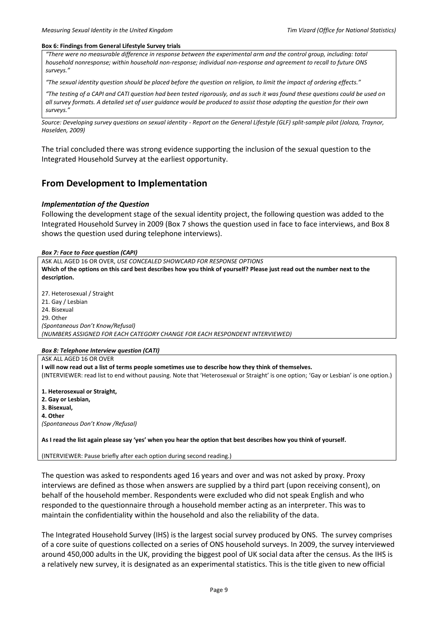#### **Box 6: Findings from General Lifestyle Survey trials**

*"There were no measurable difference in response between the experimental arm and the control group, including: total household nonresponse; within household non-response; individual non-response and agreement to recall to future ONS surveys."*

*"The sexual identity question should be placed before the question on religion, to limit the impact of ordering effects."*

*"The testing of a CAPI and CATI question had been tested rigorously, and as such it was found these questions could be used on all survey formats. A detailed set of user guidance would be produced to assist those adopting the question for their own surveys."*

*Source: Developing survey questions on sexual identity - Report on the General Lifestyle (GLF) split-sample pilot (Joloza, Traynor, Haselden, 2009)*

The trial concluded there was strong evidence supporting the inclusion of the sexual question to the Integrated Household Survey at the earliest opportunity.

## **From Development to Implementation**

#### *Implementation of the Question*

Following the development stage of the sexual identity project, the following question was added to the Integrated Household Survey in 2009 (Box 7 shows the question used in face to face interviews, and Box 8 shows the question used during telephone interviews).

#### *Box 7: Face to Face question (CAPI)*

ASK ALL AGED 16 OR OVER, *USE CONCEALED SHOWCARD FOR RESPONSE OPTIONS* **Which of the options on this card best describes how you think of yourself? Please just read out the number next to the description.**

27. Heterosexual / Straight 21. Gay / Lesbian 24. Bisexual 29. Other *(Spontaneous Don't Know/Refusal) (NUMBERS ASSIGNED FOR EACH CATEGORY CHANGE FOR EACH RESPONDENT INTERVIEWED)*

#### *Box 8: Telephone Interview question (CATI)*

ASK ALL AGED 16 OR OVER **I will now read out a list of terms people sometimes use to describe how they think of themselves.** (INTERVIEWER: read list to end without pausing. Note that 'Heterosexual or Straight' is one option; 'Gay or Lesbian' is one option.)

**1. Heterosexual or Straight, 2. Gay or Lesbian, 3. Bisexual, 4. Other**

*(Spontaneous Don't Know /Refusal)*

**As I read the list again please say 'yes' when you hear the option that best describes how you think of yourself.**

(INTERVIEWER: Pause briefly after each option during second reading.)

The question was asked to respondents aged 16 years and over and was not asked by proxy. Proxy interviews are defined as those when answers are supplied by a third part (upon receiving consent), on behalf of the household member. Respondents were excluded who did not speak English and who responded to the questionnaire through a household member acting as an interpreter. This was to maintain the confidentiality within the household and also the reliability of the data.

The Integrated Household Survey (IHS) is the largest social survey produced by ONS. The survey comprises of a core suite of questions collected on a series of ONS household surveys. In 2009, the survey interviewed around 450,000 adults in the UK, providing the biggest pool of UK social data after the census. As the IHS is a relatively new survey, it is designated as an experimental statistics. This is the title given to new official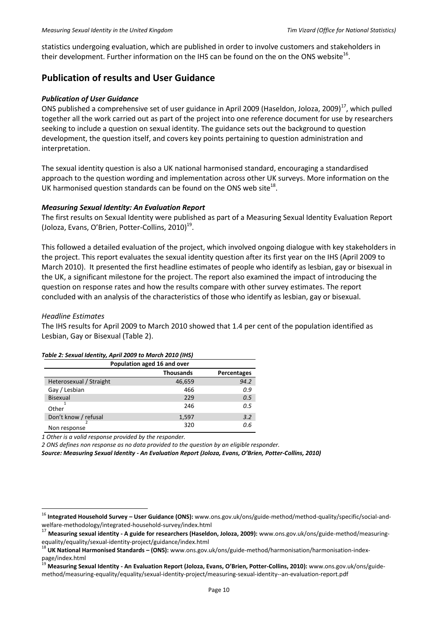statistics undergoing evaluation, which are published in order to involve customers and stakeholders in their development. Further information on the IHS can be found on the on the ONS website<sup>16</sup>.

# **Publication of results and User Guidance**

## *Publication of User Guidance*

ONS published a comprehensive set of user guidance in April 2009 (Haseldon, Joloza, 2009)<sup>17</sup>, which pulled together all the work carried out as part of the project into one reference document for use by researchers seeking to include a question on sexual identity. The guidance sets out the background to question development, the question itself, and covers key points pertaining to question administration and interpretation.

The sexual identity question is also a UK national harmonised standard, encouraging a standardised approach to the question wording and implementation across other UK surveys. More information on the UK harmonised question standards can be found on the ONS web site $^{18}$ .

## *Measuring Sexual Identity: An Evaluation Report*

The first results on Sexual Identity were published as part of a Measuring Sexual Identity Evaluation Report (Joloza, Evans, O'Brien, Potter-Collins, 2010)<sup>19</sup>.

This followed a detailed evaluation of the project, which involved ongoing dialogue with key stakeholders in the project. This report evaluates the sexual identity question after its first year on the IHS (April 2009 to March 2010). It presented the first headline estimates of people who identify as lesbian, gay or bisexual in the UK, a significant milestone for the project. The report also examined the impact of introducing the question on response rates and how the results compare with other survey estimates. The report concluded with an analysis of the characteristics of those who identify as lesbian, gay or bisexual.

## *Headline Estimates*

 $\overline{a}$ 

The IHS results for April 2009 to March 2010 showed that 1.4 per cent of the population identified as Lesbian, Gay or Bisexual (Table 2).

| Table 2: Sexual Identity, April 2009 to March 2010 (IHS) |                  |             |  |  |
|----------------------------------------------------------|------------------|-------------|--|--|
| Population aged 16 and over                              |                  |             |  |  |
|                                                          | <b>Thousands</b> | Percentages |  |  |
| Heterosexual / Straight                                  | 46,659           | 94.2        |  |  |
| Gay / Lesbian                                            | 466              | 0.9         |  |  |
| <b>Bisexual</b>                                          | 229              | 0.5         |  |  |
| Other                                                    | 246              | 0.5         |  |  |
| Don't know / refusal                                     | 1,597            | 3.2         |  |  |
| Non response                                             | 320              | 0.6         |  |  |

# *Table 2: Sexual Identity, April 2009 to March 2010 (IHS)*

*1 Other is a valid response provided by the responder.*

*2 ONS defines non response as no data provided to the question by an eligible responder.*

*Source: Measuring Sexual Identity - An Evaluation Report (Joloza, Evans, O'Brien, Potter-Collins, 2010)*

<sup>16</sup> **Integrated Household Survey – User Guidance (ONS):** www.ons.gov.uk/ons/guide-method/method-quality/specific/social-andwelfare-methodology/integrated-household-survey/index.html

<sup>17</sup> **Measuring sexual identity - A guide for researchers (Haseldon, Joloza, 2009):** www.ons.gov.uk/ons/guide-method/measuringequality/equality/sexual-identity-project/guidance/index.html

<sup>18</sup> **UK National Harmonised Standards – (ONS):** www.ons.gov.uk/ons/guide-method/harmonisation/harmonisation-indexpage/index.html<br>19 -

<sup>19</sup> **Measuring Sexual Identity - An Evaluation Report (Joloza, Evans, O'Brien, Potter-Collins, 2010):** www.ons.gov.uk/ons/guidemethod/measuring-equality/equality/sexual-identity-project/measuring-sexual-identity--an-evaluation-report.pdf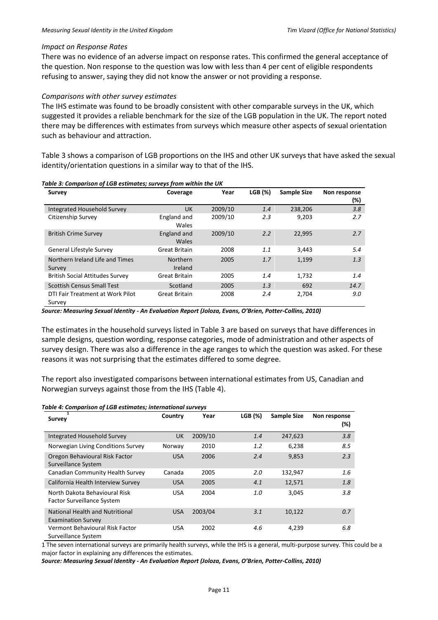## *Impact on Response Rates*

There was no evidence of an adverse impact on response rates. This confirmed the general acceptance of the question. Non response to the question was low with less than 4 per cent of eligible respondents refusing to answer, saying they did not know the answer or not providing a response.

## *Comparisons with other survey estimates*

The IHS estimate was found to be broadly consistent with other comparable surveys in the UK, which suggested it provides a reliable benchmark for the size of the LGB population in the UK. The report noted there may be differences with estimates from surveys which measure other aspects of sexual orientation such as behaviour and attraction.

Table 3 shows a comparison of LGB proportions on the IHS and other UK surveys that have asked the sexual identity/orientation questions in a similar way to that of the IHS.

| <b>Survey</b>                              | Coverage                   | Year    | LGB (%) | <b>Sample Size</b> | Non response<br>(%) |
|--------------------------------------------|----------------------------|---------|---------|--------------------|---------------------|
| Integrated Household Survey                | UK                         | 2009/10 | 1.4     | 238,206            | 3.8                 |
| Citizenship Survey                         | England and<br>Wales       | 2009/10 | 2.3     | 9,203              | 2.7                 |
| <b>British Crime Survey</b>                | England and<br>Wales       | 2009/10 | 2.2     | 22,995             | 2.7                 |
| General Lifestyle Survey                   | Great Britain              | 2008    | 1.1     | 3.443              | 5.4                 |
| Northern Ireland Life and Times<br>Survey  | <b>Northern</b><br>Ireland | 2005    | 1.7     | 1,199              | 1.3                 |
| <b>British Social Attitudes Survey</b>     | Great Britain              | 2005    | 1.4     | 1,732              | 1.4                 |
| <b>Scottish Census Small Test</b>          | Scotland                   | 2005    | 1.3     | 692                | 14.7                |
| DTI Fair Treatment at Work Pilot<br>Survey | <b>Great Britain</b>       | 2008    | 2.4     | 2,704              | 9.0                 |

#### *Table 3: Comparison of LGB estimates; surveys from within the UK*

*Source: Measuring Sexual Identity - An Evaluation Report (Joloza, Evans, O'Brien, Potter-Collins, 2010)*

The estimates in the household surveys listed in Table 3 are based on surveys that have differences in sample designs, question wording, response categories, mode of administration and other aspects of survey design. There was also a difference in the age ranges to which the question was asked. For these reasons it was not surprising that the estimates differed to some degree.

The report also investigated comparisons between international estimates from US, Canadian and Norwegian surveys against those from the IHS (Table 4).

| Survey                                                       | Country    | Year    | LGB (%) | <b>Sample Size</b> | Non response |
|--------------------------------------------------------------|------------|---------|---------|--------------------|--------------|
|                                                              |            |         |         |                    | $(\%)$       |
| Integrated Household Survey                                  | <b>UK</b>  | 2009/10 | 1.4     | 247,623            | 3.8          |
| Norwegian Living Conditions Survey                           | Norway     | 2010    | 1.2     | 6,238              | 8.5          |
| Oregon Behavioural Risk Factor<br>Surveillance System        | <b>USA</b> | 2006    | 2.4     | 9,853              | 2.3          |
| <b>Canadian Community Health Survey</b>                      | Canada     | 2005    | 2.0     | 132,947            | 1.6          |
| California Health Interview Survey                           | <b>USA</b> | 2005    | 4.1     | 12,571             | 1.8          |
| North Dakota Behavioural Risk<br>Factor Surveillance System  | <b>USA</b> | 2004    | 1.0     | 3,045              | 3.8          |
| National Health and Nutritional<br><b>Examination Survey</b> | <b>USA</b> | 2003/04 | 3.1     | 10,122             | 0.7          |
| Vermont Behavioural Risk Factor<br>Surveillance System       | <b>USA</b> | 2002    | 4.6     | 4,239              | 6.8          |

1 The seven international surveys are primarily health surveys, while the IHS is a general, multi-purpose survey. This could be a major factor in explaining any differences the estimates.

*Source: Measuring Sexual Identity - An Evaluation Report (Joloza, Evans, O'Brien, Potter-Collins, 2010)*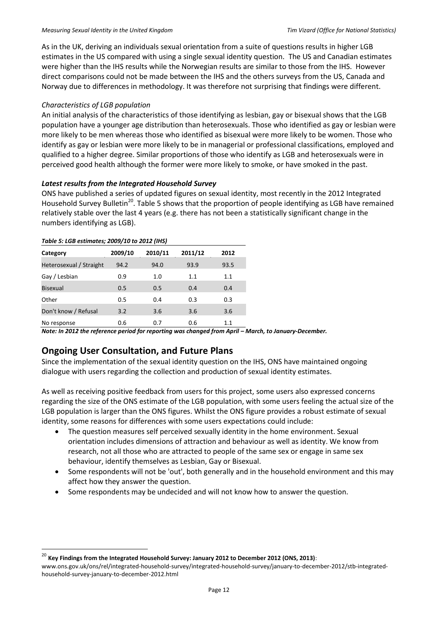As in the UK, deriving an individuals sexual orientation from a suite of questions results in higher LGB estimates in the US compared with using a single sexual identity question. The US and Canadian estimates were higher than the IHS results while the Norwegian results are similar to those from the IHS. However direct comparisons could not be made between the IHS and the others surveys from the US, Canada and Norway due to differences in methodology. It was therefore not surprising that findings were different.

## *Characteristics of LGB population*

An initial analysis of the characteristics of those identifying as lesbian, gay or bisexual shows that the LGB population have a younger age distribution than heterosexuals. Those who identified as gay or lesbian were more likely to be men whereas those who identified as bisexual were more likely to be women. Those who identify as gay or lesbian were more likely to be in managerial or professional classifications, employed and qualified to a higher degree. Similar proportions of those who identify as LGB and heterosexuals were in perceived good health although the former were more likely to smoke, or have smoked in the past.

## *Latest results from the Integrated Household Survey*

ONS have published a series of updated figures on sexual identity, most recently in the 2012 Integrated Household Survey Bulletin<sup>20</sup>. Table 5 shows that the proportion of people identifying as LGB have remained relatively stable over the last 4 years (e.g. there has not been a statistically significant change in the numbers identifying as LGB).

| , asic 3. Lob commutes, 2003, 20 to 2012 [1113] |         |         |         |      |
|-------------------------------------------------|---------|---------|---------|------|
| Category                                        | 2009/10 | 2010/11 | 2011/12 | 2012 |
| Heterosexual / Straight                         | 94.2    | 94.0    | 93.9    | 93.5 |
| Gay / Lesbian                                   | 0.9     | 1.0     | 1.1     | 1.1  |
| Bisexual                                        | 0.5     | 0.5     | 0.4     | 0.4  |
| Other                                           | 0.5     | 0.4     | 0.3     | 0.3  |
| Don't know / Refusal                            | 3.2     | 3.6     | 3.6     | 3.6  |
| No response                                     | 0.6     | 0.7     | 0.6     | 1.1  |

#### *Table 5: LGB estimates; 2009/10 to 2012 (IHS)*

1

*Note: In 2012 the reference period for reporting was changed from April – March, to January-December.* 

# **Ongoing User Consultation, and Future Plans**

Since the implementation of the sexual identity question on the IHS, ONS have maintained ongoing dialogue with users regarding the collection and production of sexual identity estimates.

As well as receiving positive feedback from users for this project, some users also expressed concerns regarding the size of the ONS estimate of the LGB population, with some users feeling the actual size of the LGB population is larger than the ONS figures. Whilst the ONS figure provides a robust estimate of sexual identity, some reasons for differences with some users expectations could include:

- The question measures self perceived sexually identity in the home environment. Sexual orientation includes dimensions of attraction and behaviour as well as identity. We know from research, not all those who are attracted to people of the same sex or engage in same sex behaviour, identify themselves as Lesbian, Gay or Bisexual.
- Some respondents will not be 'out', both generally and in the household environment and this may affect how they answer the question.
- Some respondents may be undecided and will not know how to answer the question.

<sup>20</sup> **Key Findings from the Integrated Household Survey: January 2012 to December 2012 (ONS, 2013)**:

www.ons.gov.uk/ons/rel/integrated-household-survey/integrated-household-survey/january-to-december-2012/stb-integratedhousehold-survey-january-to-december-2012.html